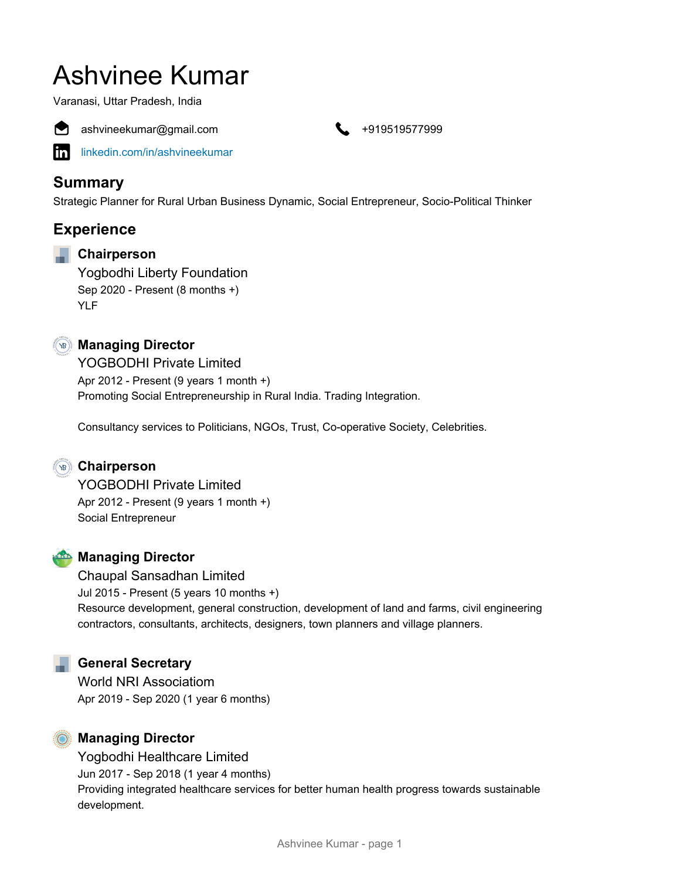# Ashvinee Kumar

Varanasi, Uttar Pradesh, India



ashvineekumar@gmail.com **+919519577999** 

[linkedin.com/in/ashvineekumar](https://www.linkedin.com/in/ashvineekumar)

### **Summary**

Strategic Planner for Rural Urban Business Dynamic, Social Entrepreneur, Socio-Political Thinker

### **Experience**



#### **Chairperson**

Yogbodhi Liberty Foundation Sep 2020 - Present (8 months +) YLF



#### **Managing Director**

YOGBODHI Private Limited Apr 2012 - Present (9 years 1 month +) Promoting Social Entrepreneurship in Rural India. Trading Integration.

Consultancy services to Politicians, NGOs, Trust, Co-operative Society, Celebrities.



#### **Chairperson**

YOGBODHI Private Limited Apr 2012 - Present (9 years 1 month +) Social Entrepreneur



#### **Managing Director**

Chaupal Sansadhan Limited Jul 2015 - Present (5 years 10 months +) Resource development, general construction, development of land and farms, civil engineering contractors, consultants, architects, designers, town planners and village planners.

#### **General Secretary**

World NRI Associatiom Apr 2019 - Sep 2020 (1 year 6 months)



#### **Managing Director**

Yogbodhi Healthcare Limited Jun 2017 - Sep 2018 (1 year 4 months) Providing integrated healthcare services for better human health progress towards sustainable development.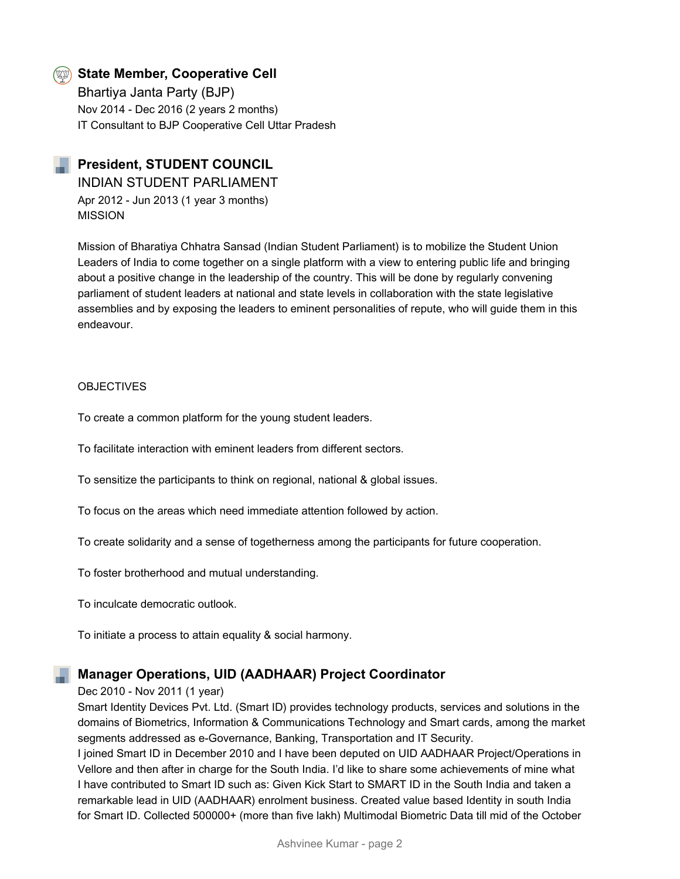#### **State Member, Cooperative Cell**

Bhartiya Janta Party (BJP) Nov 2014 - Dec 2016 (2 years 2 months) IT Consultant to BJP Cooperative Cell Uttar Pradesh

#### **President, STUDENT COUNCIL**

INDIAN STUDENT PARLIAMENT Apr 2012 - Jun 2013 (1 year 3 months) MISSION

Mission of Bharatiya Chhatra Sansad (Indian Student Parliament) is to mobilize the Student Union Leaders of India to come together on a single platform with a view to entering public life and bringing about a positive change in the leadership of the country. This will be done by regularly convening parliament of student leaders at national and state levels in collaboration with the state legislative assemblies and by exposing the leaders to eminent personalities of repute, who will guide them in this endeavour.

#### **OBJECTIVES**

To create a common platform for the young student leaders.

To facilitate interaction with eminent leaders from different sectors.

To sensitize the participants to think on regional, national & global issues.

To focus on the areas which need immediate attention followed by action.

To create solidarity and a sense of togetherness among the participants for future cooperation.

To foster brotherhood and mutual understanding.

To inculcate democratic outlook.

To initiate a process to attain equality & social harmony.

#### **Manager Operations, UID (AADHAAR) Project Coordinator**

Dec 2010 - Nov 2011 (1 year)

Smart Identity Devices Pvt. Ltd. (Smart ID) provides technology products, services and solutions in the domains of Biometrics, Information & Communications Technology and Smart cards, among the market segments addressed as e-Governance, Banking, Transportation and IT Security.

I joined Smart ID in December 2010 and I have been deputed on UID AADHAAR Project/Operations in Vellore and then after in charge for the South India. I'd like to share some achievements of mine what I have contributed to Smart ID such as: Given Kick Start to SMART ID in the South India and taken a remarkable lead in UID (AADHAAR) enrolment business. Created value based Identity in south India for Smart ID. Collected 500000+ (more than five lakh) Multimodal Biometric Data till mid of the October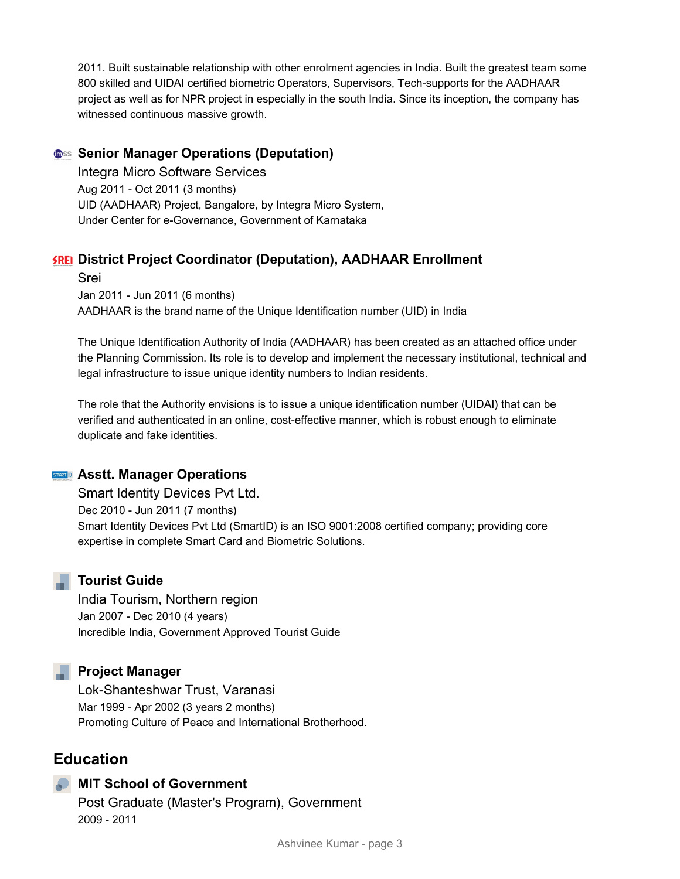2011. Built sustainable relationship with other enrolment agencies in India. Built the greatest team some 800 skilled and UIDAI certified biometric Operators, Supervisors, Tech-supports for the AADHAAR project as well as for NPR project in especially in the south India. Since its inception, the company has witnessed continuous massive growth.

#### **Onder Senior Manager Operations (Deputation)**

Integra Micro Software Services Aug 2011 - Oct 2011 (3 months) UID (AADHAAR) Project, Bangalore, by Integra Micro System, Under Center for e-Governance, Government of Karnataka

#### **SREI District Project Coordinator (Deputation), AADHAAR Enrollment**

Srei Jan 2011 - Jun 2011 (6 months) AADHAAR is the brand name of the Unique Identification number (UID) in India

The Unique Identification Authority of India (AADHAAR) has been created as an attached office under the Planning Commission. Its role is to develop and implement the necessary institutional, technical and legal infrastructure to issue unique identity numbers to Indian residents.

The role that the Authority envisions is to issue a unique identification number (UIDAI) that can be verified and authenticated in an online, cost-effective manner, which is robust enough to eliminate duplicate and fake identities.

#### **ASSIT. Manager Operations**

Smart Identity Devices Pvt Ltd. Dec 2010 - Jun 2011 (7 months) Smart Identity Devices Pvt Ltd (SmartID) is an ISO 9001:2008 certified company; providing core expertise in complete Smart Card and Biometric Solutions.

#### **Tourist Guide**

India Tourism, Northern region Jan 2007 - Dec 2010 (4 years) Incredible India, Government Approved Tourist Guide

#### **Project Manager**

Lok-Shanteshwar Trust, Varanasi Mar 1999 - Apr 2002 (3 years 2 months) Promoting Culture of Peace and International Brotherhood.

#### **Education**

#### **MIT School of Government**

Post Graduate (Master's Program), Government 2009 - 2011